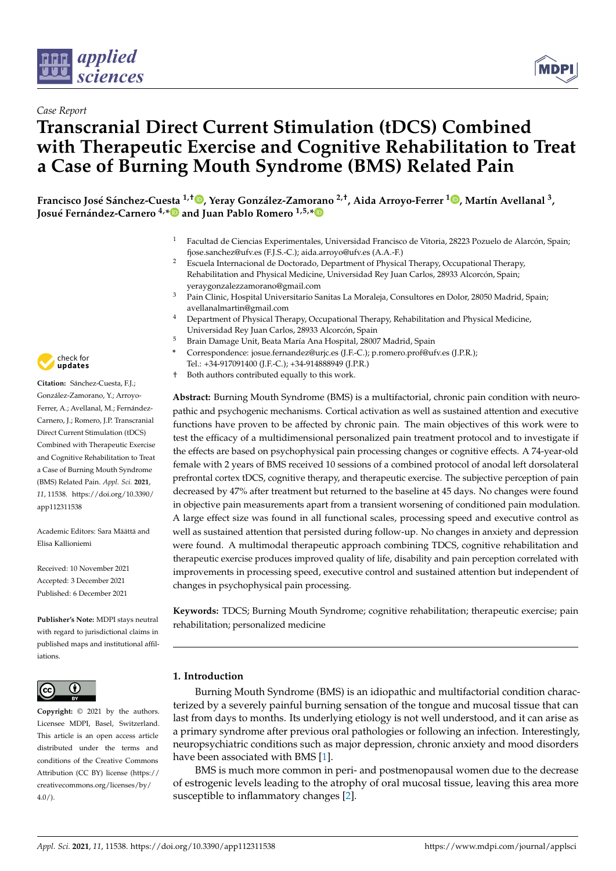



# **Transcranial Direct Current Stimulation (tDCS) Combined with Therapeutic Exercise and Cognitive Rehabilitation to Treat a Case of Burning Mouth Syndrome (BMS) Related Pain**

Francisco José Sánchez-Cuesta <sup>1[,](https://orcid.org/0000-0001-6202-7071)†</sup>®, Yeray González-Zamorano <sup>2,†</sup>, Aida Arroyo-Ferrer <sup>[1](https://orcid.org/0000-0001-8704-242X)</sup>®, Martín Avellanal <sup>3</sup>, **Josué Fernández-Carnero 4,[\\*](https://orcid.org/0000-0002-1314-624X) and Juan Pablo Romero 1,5,[\\*](https://orcid.org/0000-0002-3190-1296)**

- <sup>1</sup> Facultad de Ciencias Experimentales, Universidad Francisco de Vitoria, 28223 Pozuelo de Alarcón, Spain; fjose.sanchez@ufv.es (F.J.S.-C.); aida.arroyo@ufv.es (A.A.-F.)
- <sup>2</sup> Escuela Internacional de Doctorado, Department of Physical Therapy, Occupational Therapy, Rehabilitation and Physical Medicine, Universidad Rey Juan Carlos, 28933 Alcorcón, Spain; yeraygonzalezzamorano@gmail.com
- <sup>3</sup> Pain Clinic, Hospital Universitario Sanitas La Moraleja, Consultores en Dolor, 28050 Madrid, Spain; avellanalmartin@gmail.com
- <sup>4</sup> Department of Physical Therapy, Occupational Therapy, Rehabilitation and Physical Medicine, Universidad Rey Juan Carlos, 28933 Alcorcón, Spain
- <sup>5</sup> Brain Damage Unit, Beata María Ana Hospital, 28007 Madrid, Spain
	- **\*** Correspondence: josue.fernandez@urjc.es (J.F.-C.); p.romero.prof@ufv.es (J.P.R.);
- Tel.: +34-917091400 (J.F.-C.); +34-914888949 (J.P.R.)
- † Both authors contributed equally to this work.

**Abstract:** Burning Mouth Syndrome (BMS) is a multifactorial, chronic pain condition with neuropathic and psychogenic mechanisms. Cortical activation as well as sustained attention and executive functions have proven to be affected by chronic pain. The main objectives of this work were to test the efficacy of a multidimensional personalized pain treatment protocol and to investigate if the effects are based on psychophysical pain processing changes or cognitive effects. A 74-year-old female with 2 years of BMS received 10 sessions of a combined protocol of anodal left dorsolateral prefrontal cortex tDCS, cognitive therapy, and therapeutic exercise. The subjective perception of pain decreased by 47% after treatment but returned to the baseline at 45 days. No changes were found in objective pain measurements apart from a transient worsening of conditioned pain modulation. A large effect size was found in all functional scales, processing speed and executive control as well as sustained attention that persisted during follow-up. No changes in anxiety and depression were found. A multimodal therapeutic approach combining TDCS, cognitive rehabilitation and therapeutic exercise produces improved quality of life, disability and pain perception correlated with improvements in processing speed, executive control and sustained attention but independent of changes in psychophysical pain processing.

**Keywords:** TDCS; Burning Mouth Syndrome; cognitive rehabilitation; therapeutic exercise; pain rehabilitation; personalized medicine

#### **1. Introduction**

Burning Mouth Syndrome (BMS) is an idiopathic and multifactorial condition characterized by a severely painful burning sensation of the tongue and mucosal tissue that can last from days to months. Its underlying etiology is not well understood, and it can arise as a primary syndrome after previous oral pathologies or following an infection. Interestingly, neuropsychiatric conditions such as major depression, chronic anxiety and mood disorders have been associated with BMS [\[1\]](#page-6-0).

BMS is much more common in peri- and postmenopausal women due to the decrease of estrogenic levels leading to the atrophy of oral mucosal tissue, leaving this area more susceptible to inflammatory changes [\[2\]](#page-6-1).



**Citation:** Sánchez-Cuesta, F.J.; González-Zamorano, Y.; Arroyo-Ferrer, A.; Avellanal, M.; Fernández-Carnero, J.; Romero, J.P. Transcranial Direct Current Stimulation (tDCS) Combined with Therapeutic Exercise and Cognitive Rehabilitation to Treat a Case of Burning Mouth Syndrome (BMS) Related Pain. *Appl. Sci.* **2021**, *11*, 11538. [https://doi.org/10.3390/](https://doi.org/10.3390/app112311538) [app112311538](https://doi.org/10.3390/app112311538)

Academic Editors: Sara Määttä and Elisa Kallioniemi

Received: 10 November 2021 Accepted: 3 December 2021 Published: 6 December 2021

**Publisher's Note:** MDPI stays neutral with regard to jurisdictional claims in published maps and institutional affiliations.



**Copyright:** © 2021 by the authors. Licensee MDPI, Basel, Switzerland. This article is an open access article distributed under the terms and conditions of the Creative Commons Attribution (CC BY) license (https:/[/](https://creativecommons.org/licenses/by/4.0/) [creativecommons.org/licenses/by/](https://creativecommons.org/licenses/by/4.0/)  $4.0/$ ).

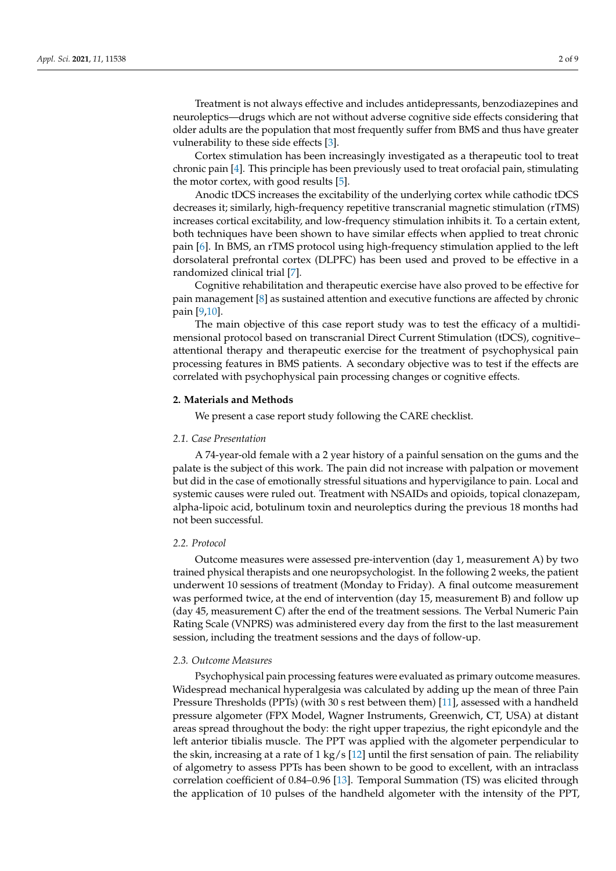Treatment is not always effective and includes antidepressants, benzodiazepines and neuroleptics—drugs which are not without adverse cognitive side effects considering that older adults are the population that most frequently suffer from BMS and thus have greater vulnerability to these side effects [\[3\]](#page-6-2).

Cortex stimulation has been increasingly investigated as a therapeutic tool to treat chronic pain [\[4\]](#page-6-3). This principle has been previously used to treat orofacial pain, stimulating the motor cortex, with good results [\[5\]](#page-6-4).

Anodic tDCS increases the excitability of the underlying cortex while cathodic tDCS decreases it; similarly, high-frequency repetitive transcranial magnetic stimulation (rTMS) increases cortical excitability, and low-frequency stimulation inhibits it. To a certain extent, both techniques have been shown to have similar effects when applied to treat chronic pain [\[6\]](#page-6-5). In BMS, an rTMS protocol using high-frequency stimulation applied to the left dorsolateral prefrontal cortex (DLPFC) has been used and proved to be effective in a randomized clinical trial [\[7\]](#page-6-6).

Cognitive rehabilitation and therapeutic exercise have also proved to be effective for pain management [\[8\]](#page-6-7) as sustained attention and executive functions are affected by chronic pain [\[9](#page-6-8)[,10\]](#page-6-9).

The main objective of this case report study was to test the efficacy of a multidimensional protocol based on transcranial Direct Current Stimulation (tDCS), cognitive– attentional therapy and therapeutic exercise for the treatment of psychophysical pain processing features in BMS patients. A secondary objective was to test if the effects are correlated with psychophysical pain processing changes or cognitive effects.

#### **2. Materials and Methods**

We present a case report study following the CARE checklist.

#### *2.1. Case Presentation*

A 74-year-old female with a 2 year history of a painful sensation on the gums and the palate is the subject of this work. The pain did not increase with palpation or movement but did in the case of emotionally stressful situations and hypervigilance to pain. Local and systemic causes were ruled out. Treatment with NSAIDs and opioids, topical clonazepam, alpha-lipoic acid, botulinum toxin and neuroleptics during the previous 18 months had not been successful.

#### *2.2. Protocol*

Outcome measures were assessed pre-intervention (day 1, measurement A) by two trained physical therapists and one neuropsychologist. In the following 2 weeks, the patient underwent 10 sessions of treatment (Monday to Friday). A final outcome measurement was performed twice, at the end of intervention (day 15, measurement B) and follow up (day 45, measurement C) after the end of the treatment sessions. The Verbal Numeric Pain Rating Scale (VNPRS) was administered every day from the first to the last measurement session, including the treatment sessions and the days of follow-up.

#### *2.3. Outcome Measures*

Psychophysical pain processing features were evaluated as primary outcome measures. Widespread mechanical hyperalgesia was calculated by adding up the mean of three Pain Pressure Thresholds (PPTs) (with 30 s rest between them) [\[11\]](#page-6-10), assessed with a handheld pressure algometer (FPX Model, Wagner Instruments, Greenwich, CT, USA) at distant areas spread throughout the body: the right upper trapezius, the right epicondyle and the left anterior tibialis muscle. The PPT was applied with the algometer perpendicular to the skin, increasing at a rate of  $1 \text{ kg/s}$  [\[12\]](#page-6-11) until the first sensation of pain. The reliability of algometry to assess PPTs has been shown to be good to excellent, with an intraclass correlation coefficient of 0.84–0.96 [\[13\]](#page-7-0). Temporal Summation (TS) was elicited through the application of 10 pulses of the handheld algometer with the intensity of the PPT,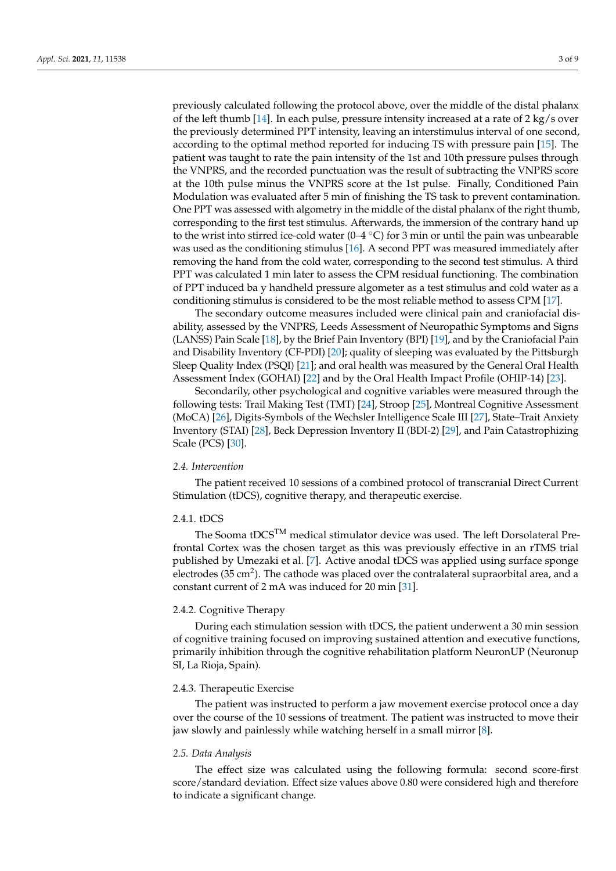previously calculated following the protocol above, over the middle of the distal phalanx of the left thumb [\[14\]](#page-7-1). In each pulse, pressure intensity increased at a rate of  $2 \text{ kg/s}$  over the previously determined PPT intensity, leaving an interstimulus interval of one second, according to the optimal method reported for inducing TS with pressure pain [\[15\]](#page-7-2). The patient was taught to rate the pain intensity of the 1st and 10th pressure pulses through the VNPRS, and the recorded punctuation was the result of subtracting the VNPRS score at the 10th pulse minus the VNPRS score at the 1st pulse. Finally, Conditioned Pain Modulation was evaluated after 5 min of finishing the TS task to prevent contamination. One PPT was assessed with algometry in the middle of the distal phalanx of the right thumb, corresponding to the first test stimulus. Afterwards, the immersion of the contrary hand up to the wrist into stirred ice-cold water (0–4  $\degree$ C) for 3 min or until the pain was unbearable was used as the conditioning stimulus [\[16\]](#page-7-3). A second PPT was measured immediately after removing the hand from the cold water, corresponding to the second test stimulus. A third PPT was calculated 1 min later to assess the CPM residual functioning. The combination of PPT induced ba y handheld pressure algometer as a test stimulus and cold water as a conditioning stimulus is considered to be the most reliable method to assess CPM [\[17\]](#page-7-4).

The secondary outcome measures included were clinical pain and craniofacial disability, assessed by the VNPRS, Leeds Assessment of Neuropathic Symptoms and Signs (LANSS) Pain Scale [\[18\]](#page-7-5), by the Brief Pain Inventory (BPI) [\[19\]](#page-7-6), and by the Craniofacial Pain and Disability Inventory (CF-PDI) [\[20\]](#page-7-7); quality of sleeping was evaluated by the Pittsburgh Sleep Quality Index (PSQI) [\[21\]](#page-7-8); and oral health was measured by the General Oral Health Assessment Index (GOHAI) [\[22\]](#page-7-9) and by the Oral Health Impact Profile (OHIP-14) [\[23\]](#page-7-10).

Secondarily, other psychological and cognitive variables were measured through the following tests: Trail Making Test (TMT) [\[24\]](#page-7-11), Stroop [\[25\]](#page-7-12), Montreal Cognitive Assessment (MoCA) [\[26\]](#page-7-13), Digits-Symbols of the Wechsler Intelligence Scale III [\[27\]](#page-7-14), State–Trait Anxiety Inventory (STAI) [\[28\]](#page-7-15), Beck Depression Inventory II (BDI-2) [\[29\]](#page-7-16), and Pain Catastrophizing Scale (PCS) [\[30\]](#page-7-17).

#### *2.4. Intervention*

The patient received 10 sessions of a combined protocol of transcranial Direct Current Stimulation (tDCS), cognitive therapy, and therapeutic exercise.

#### 2.4.1. tDCS

The Sooma tDCSTM medical stimulator device was used. The left Dorsolateral Prefrontal Cortex was the chosen target as this was previously effective in an rTMS trial published by Umezaki et al. [\[7\]](#page-6-6). Active anodal tDCS was applied using surface sponge electrodes (35 cm<sup>2</sup>). The cathode was placed over the contralateral supraorbital area, and a constant current of 2 mA was induced for 20 min [\[31\]](#page-7-18).

#### 2.4.2. Cognitive Therapy

During each stimulation session with tDCS, the patient underwent a 30 min session of cognitive training focused on improving sustained attention and executive functions, primarily inhibition through the cognitive rehabilitation platform NeuronUP (Neuronup SI, La Rioja, Spain).

#### 2.4.3. Therapeutic Exercise

The patient was instructed to perform a jaw movement exercise protocol once a day over the course of the 10 sessions of treatment. The patient was instructed to move their jaw slowly and painlessly while watching herself in a small mirror [\[8\]](#page-6-7).

#### *2.5. Data Analysis*

The effect size was calculated using the following formula: second score-first score/standard deviation. Effect size values above 0.80 were considered high and therefore to indicate a significant change.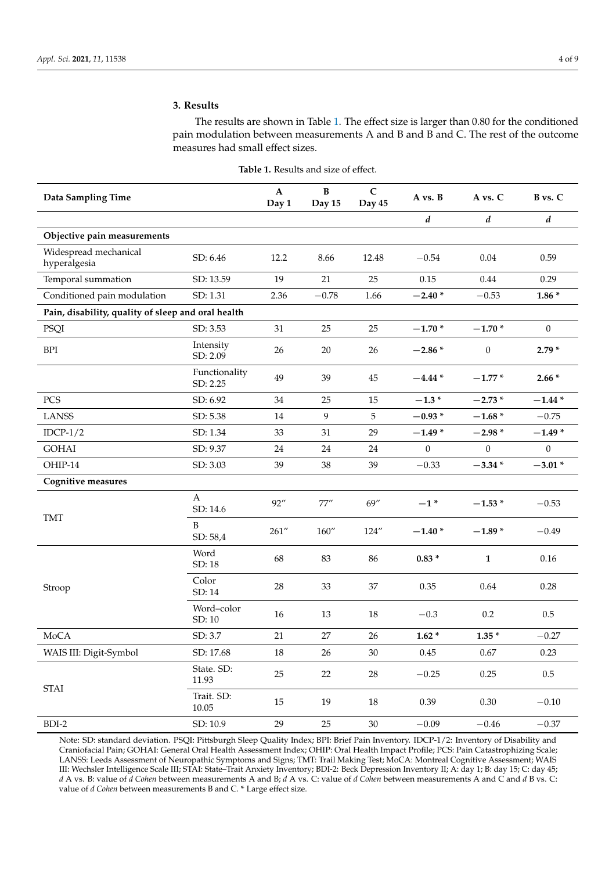### **3. Results**

The results are shown in Table [1.](#page-3-0) The effect size is larger than 0.80 for the conditioned pain modulation between measurements A and B and B and C. The rest of the outcome measures had small effect sizes.

<span id="page-3-0"></span>

| Data Sampling Time                                 |                           | $\mathbf{A}$<br>Day 1 | $\bf{B}$<br>Day 15 | $\mathbf C$<br>Day 45 | A vs. B          | A vs. C          | B vs. C          |
|----------------------------------------------------|---------------------------|-----------------------|--------------------|-----------------------|------------------|------------------|------------------|
|                                                    |                           |                       |                    |                       | $\boldsymbol{d}$ | $\boldsymbol{d}$ | $\boldsymbol{d}$ |
| Objective pain measurements                        |                           |                       |                    |                       |                  |                  |                  |
| Widespread mechanical<br>hyperalgesia              | SD: 6.46                  | 12.2                  | 8.66               | 12.48                 | $-0.54$          | $0.04\,$         | 0.59             |
| Temporal summation                                 | SD: 13.59                 | 19                    | 21                 | 25                    | 0.15             | 0.44             | 0.29             |
| Conditioned pain modulation                        | SD: 1.31                  | 2.36                  | $-0.78$            | 1.66                  | $-2.40*$         | $-0.53$          | $1.86*$          |
| Pain, disability, quality of sleep and oral health |                           |                       |                    |                       |                  |                  |                  |
| PSQI                                               | SD: 3.53                  | 31                    | 25                 | 25                    | $-1.70*$         | $-1.70*$         | $\boldsymbol{0}$ |
| <b>BPI</b>                                         | Intensity<br>SD: 2.09     | $26\,$                | 20                 | 26                    | $-2.86*$         | $\boldsymbol{0}$ | $2.79*$          |
|                                                    | Functionality<br>SD: 2.25 | 49                    | 39                 | 45                    | $-4.44*$         | $-1.77*$         | $2.66*$          |
| PCS                                                | SD: 6.92                  | 34                    | 25                 | 15                    | $-1.3*$          | $-2.73*$         | $-1.44*$         |
| <b>LANSS</b>                                       | SD: 5.38                  | $14\,$                | $\boldsymbol{9}$   | $\sqrt{5}$            | $-0.93*$         | $-1.68*$         | $-0.75$          |
| $IDCP-1/2$                                         | SD: 1.34                  | 33                    | 31                 | 29                    | $-1.49*$         | $-2.98*$         | $-1.49*$         |
| <b>GOHAI</b>                                       | SD: 9.37                  | 24                    | 24                 | 24                    | $\overline{0}$   | $\theta$         | $\Omega$         |
| OHIP-14                                            | SD: 3.03                  | 39                    | 38                 | 39                    | $-0.33$          | $-3.34*$         | $-3.01*$         |
| <b>Cognitive measures</b>                          |                           |                       |                    |                       |                  |                  |                  |
| <b>TMT</b>                                         | A<br>SD: 14.6             | 92''                  | 77''               | 69''                  | $-1$ *           | $-1.53*$         | $-0.53$          |
|                                                    | B<br>SD: 58,4             | 261''                 | 160''              | 124''                 | $-1.40*$         | $-1.89*$         | $-0.49$          |
| Stroop                                             | Word<br>SD: 18            | 68                    | 83                 | 86                    | $0.83 *$         | $\mathbf{1}$     | $0.16\,$         |
|                                                    | Color<br>SD: 14           | $28\,$                | 33                 | 37                    | 0.35             | 0.64             | 0.28             |
|                                                    | Word-color<br>SD: 10      | $16\,$                | 13                 | 18                    | $-0.3$           | 0.2              | $0.5\,$          |
| MoCA                                               | SD: 3.7                   | 21                    | $27\,$             | 26                    | $1.62 *$         | $1.35*$          | $-0.27$          |
| WAIS III: Digit-Symbol                             | SD: 17.68                 | $18\,$                | 26                 | 30                    | 0.45             | 0.67             | 0.23             |
| <b>STAI</b>                                        | State. SD:<br>11.93       | $25\,$                | $22\,$             | $28\,$                | $-0.25$          | 0.25             | $0.5\,$          |
|                                                    | Trait. SD:<br>10.05       | $15\,$                | 19                 | 18                    | 0.39             | $0.30\,$         | $-0.10$          |
| BDI-2                                              | SD: 10.9                  | 29                    | $25\,$             | $30\,$                | $-0.09$          | $-0.46\,$        | $-0.37\,$        |

**Table 1.** Results and size of effect.

Note: SD: standard deviation. PSQI: Pittsburgh Sleep Quality Index; BPI: Brief Pain Inventory. IDCP-1/2: Inventory of Disability and Craniofacial Pain; GOHAI: General Oral Health Assessment Index; OHIP: Oral Health Impact Profile; PCS: Pain Catastrophizing Scale; LANSS: Leeds Assessment of Neuropathic Symptoms and Signs; TMT: Trail Making Test; MoCA: Montreal Cognitive Assessment; WAIS III: Wechsler Intelligence Scale III; STAI: State–Trait Anxiety Inventory; BDI-2: Beck Depression Inventory II; A: day 1; B: day 15; C: day 45; *d* A vs. B: value of *d Cohen* between measurements A and B; *d* A vs. C: value of *d Cohen* between measurements A and C and *d* B vs. C: value of *d Cohen* between measurements B and C. **\*** Large effect size.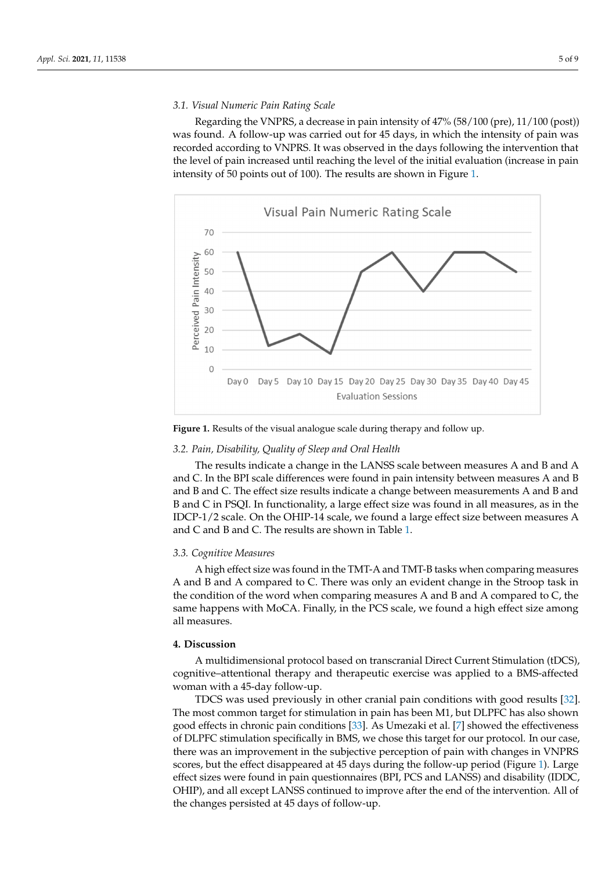#### *3.1. Visual Numeric Pain Rating Scale 3.1. Visual Numeric Pain Rating Scale*

and B; *d* A vs. C: value of *d Cohen* between measurements A and C and *d* B vs. C: value of *d Cohen* between measurements

Regarding the VNPRS, a decrease in pain intensity of 47% (58/100 (pre), 11/100 (post)) Regarding the VNPRS, a decrease in pain intensity of 47% (58/100 (pre), 11/100 (post)) was found. A follow-up was carried out for 45 days, in which the intensity of pain was was found. A follow-up was carried out for 45 days, in which the intensity of pain was recorded according to VNPRS. It was observed in the days following the intervention that recorded according to VNPRS. It was observed in the days following the intervention that the level of pain increased until reaching the level of the initial evaluation (increase in pain the level of pain increased until reaching the level of the initial evaluation (increase in pain intensity of 50 points out of 100). The results are shown in Figure 1. intensity of 50 points out of 100). The results are shown in Figur[e 1](#page-4-0).

<span id="page-4-0"></span>

**Figure 1.** Results of the visual analogue scale during therapy and follow up. **Figure 1.** Results of the visual analogue scale during therapy and follow up.

## *3.2. Pain, Disability, Quality of Sleep and Oral Health 3.2. Pain, Disability, Quality of Sleep and Oral Health*

The results indicate a change in the LANSS scale between measures A and B and A<br>C - The results in the L and C. In the BPI scale differences were found in pain intensity between measures A and B B and B and C. The effect size results indicate a change between measurements A and B and B and C. The effect size results indicate a change between measurements A and B and and B and C in PSQI. In functionality, a large effect size was found in all measures, as in B and C in PSQI. In functionality, a large effect size was found in all measures, as in the IDCP-1/2 scale. On the OHIP-14 scale, we found a large effect size between measures A A and C and B and C. The results are shown in Table 1. and C and B and C. The results are shown in Table [1.](#page-3-0)

#### *3.3. Cognitive Measures 3.3. Cognitive Measures*

A and B and A compared to C. There was only an evident change in the Stroop task in the condition of the word when comparing measures A and B and A compared to C, the same happens with MoCA. Finally, in the PCS scale, we found a high effect size among C, the same happens with MoCA. Finally, in the PCS scale, we found a high effect size A high effect size was found in the TMT-A and TMT-B tasks when comparing measures all measures.

#### **4. Discussion**

A multidimensional protocol based on transcranial Direct Current Stimulation (tDCS), cognitive–attentional therapy and therapeutic exercise was applied to a BMS-affected woman with a 45-day follow-up.  $\blacksquare$ 

TDCS was used previously in other cranial pain conditions with good results [\[32\]](#page-7-19). The most common target for stimulation in pain has been M1, but DLPFC has also shown good effects in chronic pain conditions [33]. As Umezaki et al. [7] showed the effectiveness of DLPFC stimulation specifically in BMS, we chose this target for our protocol. In our case, there was an improvement in the subjective perception of pain with changes in VNPRS scores, but the effect disappeared at 45 days during the follow-up period (Figure [1\)](#page-4-0). Large effect sizes were found in pain questionnaires (BPI, PCS and LANSS) and disability (IDDC, OHIP), and all except LANSS continued to improve after the end of the intervention. All of the changes persisted at 45 days of follow-up.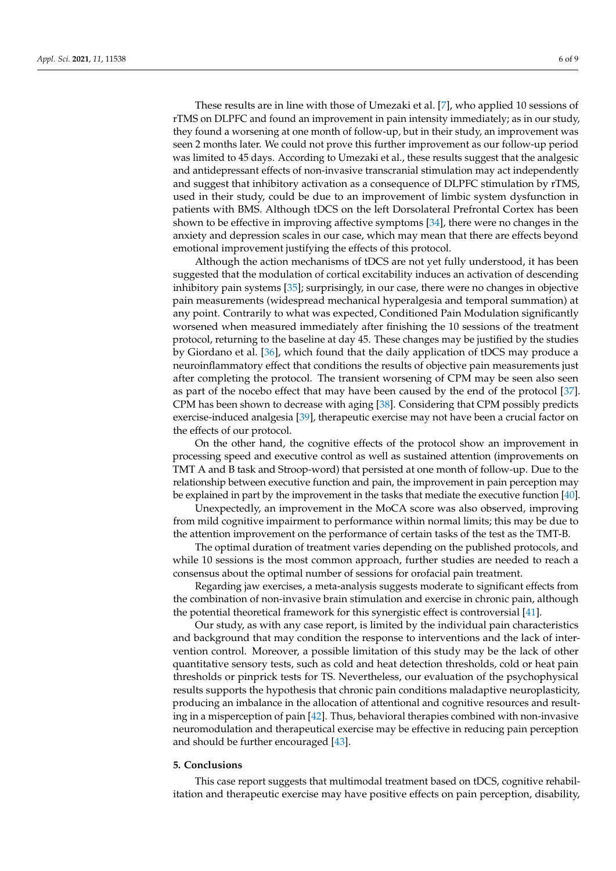These results are in line with those of Umezaki et al. [\[7\]](#page-6-6), who applied 10 sessions of rTMS on DLPFC and found an improvement in pain intensity immediately; as in our study, they found a worsening at one month of follow-up, but in their study, an improvement was seen 2 months later. We could not prove this further improvement as our follow-up period was limited to 45 days. According to Umezaki et al., these results suggest that the analgesic and antidepressant effects of non-invasive transcranial stimulation may act independently and suggest that inhibitory activation as a consequence of DLPFC stimulation by rTMS, used in their study, could be due to an improvement of limbic system dysfunction in patients with BMS. Although tDCS on the left Dorsolateral Prefrontal Cortex has been shown to be effective in improving affective symptoms [\[34\]](#page-7-21), there were no changes in the anxiety and depression scales in our case, which may mean that there are effects beyond emotional improvement justifying the effects of this protocol.

Although the action mechanisms of tDCS are not yet fully understood, it has been suggested that the modulation of cortical excitability induces an activation of descending inhibitory pain systems [\[35\]](#page-7-22); surprisingly, in our case, there were no changes in objective pain measurements (widespread mechanical hyperalgesia and temporal summation) at any point. Contrarily to what was expected, Conditioned Pain Modulation significantly worsened when measured immediately after finishing the 10 sessions of the treatment protocol, returning to the baseline at day 45. These changes may be justified by the studies by Giordano et al. [\[36\]](#page-7-23), which found that the daily application of tDCS may produce a neuroinflammatory effect that conditions the results of objective pain measurements just after completing the protocol. The transient worsening of CPM may be seen also seen as part of the nocebo effect that may have been caused by the end of the protocol [\[37\]](#page-7-24). CPM has been shown to decrease with aging [\[38\]](#page-7-25). Considering that CPM possibly predicts exercise-induced analgesia [\[39\]](#page-8-0), therapeutic exercise may not have been a crucial factor on the effects of our protocol.

On the other hand, the cognitive effects of the protocol show an improvement in processing speed and executive control as well as sustained attention (improvements on TMT A and B task and Stroop-word) that persisted at one month of follow-up. Due to the relationship between executive function and pain, the improvement in pain perception may be explained in part by the improvement in the tasks that mediate the executive function [\[40\]](#page-8-1).

Unexpectedly, an improvement in the MoCA score was also observed, improving from mild cognitive impairment to performance within normal limits; this may be due to the attention improvement on the performance of certain tasks of the test as the TMT-B.

The optimal duration of treatment varies depending on the published protocols, and while 10 sessions is the most common approach, further studies are needed to reach a consensus about the optimal number of sessions for orofacial pain treatment.

Regarding jaw exercises, a meta-analysis suggests moderate to significant effects from the combination of non-invasive brain stimulation and exercise in chronic pain, although the potential theoretical framework for this synergistic effect is controversial [\[41\]](#page-8-2).

Our study, as with any case report, is limited by the individual pain characteristics and background that may condition the response to interventions and the lack of intervention control. Moreover, a possible limitation of this study may be the lack of other quantitative sensory tests, such as cold and heat detection thresholds, cold or heat pain thresholds or pinprick tests for TS. Nevertheless, our evaluation of the psychophysical results supports the hypothesis that chronic pain conditions maladaptive neuroplasticity, producing an imbalance in the allocation of attentional and cognitive resources and resulting in a misperception of pain [\[42\]](#page-8-3). Thus, behavioral therapies combined with non-invasive neuromodulation and therapeutical exercise may be effective in reducing pain perception and should be further encouraged [\[43\]](#page-8-4).

#### **5. Conclusions**

This case report suggests that multimodal treatment based on tDCS, cognitive rehabilitation and therapeutic exercise may have positive effects on pain perception, disability,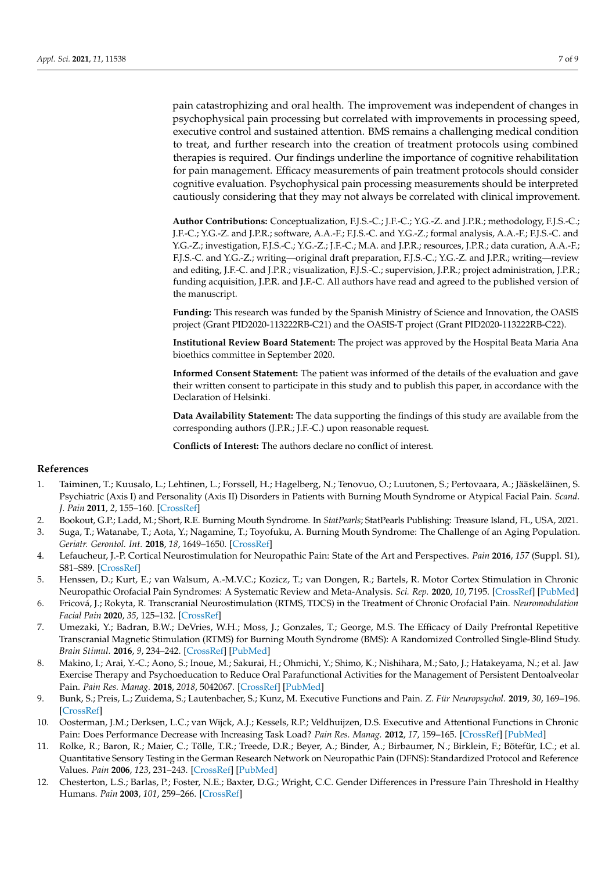pain catastrophizing and oral health. The improvement was independent of changes in psychophysical pain processing but correlated with improvements in processing speed, executive control and sustained attention. BMS remains a challenging medical condition to treat, and further research into the creation of treatment protocols using combined therapies is required. Our findings underline the importance of cognitive rehabilitation for pain management. Efficacy measurements of pain treatment protocols should consider cognitive evaluation. Psychophysical pain processing measurements should be interpreted cautiously considering that they may not always be correlated with clinical improvement.

**Author Contributions:** Conceptualization, F.J.S.-C.; J.F.-C.; Y.G.-Z. and J.P.R.; methodology, F.J.S.-C.; J.F.-C.; Y.G.-Z. and J.P.R.; software, A.A.-F.; F.J.S.-C. and Y.G.-Z.; formal analysis, A.A.-F.; F.J.S.-C. and Y.G.-Z.; investigation, F.J.S.-C.; Y.G.-Z.; J.F.-C.; M.A. and J.P.R.; resources, J.P.R.; data curation, A.A.-F.; F.J.S.-C. and Y.G.-Z.; writing—original draft preparation, F.J.S.-C.; Y.G.-Z. and J.P.R.; writing—review and editing, J.F.-C. and J.P.R.; visualization, F.J.S.-C.; supervision, J.P.R.; project administration, J.P.R.; funding acquisition, J.P.R. and J.F.-C. All authors have read and agreed to the published version of the manuscript.

**Funding:** This research was funded by the Spanish Ministry of Science and Innovation, the OASIS project (Grant PID2020-113222RB-C21) and the OASIS-T project (Grant PID2020-113222RB-C22).

**Institutional Review Board Statement:** The project was approved by the Hospital Beata Maria Ana bioethics committee in September 2020.

**Informed Consent Statement:** The patient was informed of the details of the evaluation and gave their written consent to participate in this study and to publish this paper, in accordance with the Declaration of Helsinki.

**Data Availability Statement:** The data supporting the findings of this study are available from the corresponding authors (J.P.R.; J.F.-C.) upon reasonable request.

**Conflicts of Interest:** The authors declare no conflict of interest.

#### **References**

- <span id="page-6-0"></span>1. Taiminen, T.; Kuusalo, L.; Lehtinen, L.; Forssell, H.; Hagelberg, N.; Tenovuo, O.; Luutonen, S.; Pertovaara, A.; Jääskeläinen, S. Psychiatric (Axis I) and Personality (Axis II) Disorders in Patients with Burning Mouth Syndrome or Atypical Facial Pain. *Scand. J. Pain* **2011**, *2*, 155–160. [\[CrossRef\]](http://doi.org/10.1016/j.sjpain.2011.06.004)
- <span id="page-6-1"></span>2. Bookout, G.P.; Ladd, M.; Short, R.E. Burning Mouth Syndrome. In *StatPearls*; StatPearls Publishing: Treasure Island, FL, USA, 2021.
- <span id="page-6-2"></span>3. Suga, T.; Watanabe, T.; Aota, Y.; Nagamine, T.; Toyofuku, A. Burning Mouth Syndrome: The Challenge of an Aging Population. *Geriatr. Gerontol. Int.* **2018**, *18*, 1649–1650. [\[CrossRef\]](http://doi.org/10.1111/ggi.13548)
- <span id="page-6-3"></span>4. Lefaucheur, J.-P. Cortical Neurostimulation for Neuropathic Pain: State of the Art and Perspectives. *Pain* **2016**, *157* (Suppl. S1), S81–S89. [\[CrossRef\]](http://doi.org/10.1097/j.pain.0000000000000401)
- <span id="page-6-4"></span>5. Henssen, D.; Kurt, E.; van Walsum, A.-M.V.C.; Kozicz, T.; van Dongen, R.; Bartels, R. Motor Cortex Stimulation in Chronic Neuropathic Orofacial Pain Syndromes: A Systematic Review and Meta-Analysis. *Sci. Rep.* **2020**, *10*, 7195. [\[CrossRef\]](http://doi.org/10.1038/s41598-020-64177-z) [\[PubMed\]](http://www.ncbi.nlm.nih.gov/pubmed/32346080)
- <span id="page-6-5"></span>6. Fricová, J.; Rokyta, R. Transcranial Neurostimulation (RTMS, TDCS) in the Treatment of Chronic Orofacial Pain. *Neuromodulation Facial Pain* **2020**, *35*, 125–132. [\[CrossRef\]](http://doi.org/10.1159/000511134)
- <span id="page-6-6"></span>7. Umezaki, Y.; Badran, B.W.; DeVries, W.H.; Moss, J.; Gonzales, T.; George, M.S. The Efficacy of Daily Prefrontal Repetitive Transcranial Magnetic Stimulation (RTMS) for Burning Mouth Syndrome (BMS): A Randomized Controlled Single-Blind Study. *Brain Stimul.* **2016**, *9*, 234–242. [\[CrossRef\]](http://doi.org/10.1016/j.brs.2015.10.005) [\[PubMed\]](http://www.ncbi.nlm.nih.gov/pubmed/26597930)
- <span id="page-6-7"></span>8. Makino, I.; Arai, Y.-C.; Aono, S.; Inoue, M.; Sakurai, H.; Ohmichi, Y.; Shimo, K.; Nishihara, M.; Sato, J.; Hatakeyama, N.; et al. Jaw Exercise Therapy and Psychoeducation to Reduce Oral Parafunctional Activities for the Management of Persistent Dentoalveolar Pain. *Pain Res. Manag.* **2018**, *2018*, 5042067. [\[CrossRef\]](http://doi.org/10.1155/2018/5042067) [\[PubMed\]](http://www.ncbi.nlm.nih.gov/pubmed/30275919)
- <span id="page-6-8"></span>9. Bunk, S.; Preis, L.; Zuidema, S.; Lautenbacher, S.; Kunz, M. Executive Functions and Pain. *Z. Für Neuropsychol.* **2019**, *30*, 169–196. [\[CrossRef\]](http://doi.org/10.1024/1016-264X/a000264)
- <span id="page-6-9"></span>10. Oosterman, J.M.; Derksen, L.C.; van Wijck, A.J.; Kessels, R.P.; Veldhuijzen, D.S. Executive and Attentional Functions in Chronic Pain: Does Performance Decrease with Increasing Task Load? *Pain Res. Manag.* **2012**, *17*, 159–165. [\[CrossRef\]](http://doi.org/10.1155/2012/962786) [\[PubMed\]](http://www.ncbi.nlm.nih.gov/pubmed/22606680)
- <span id="page-6-10"></span>11. Rolke, R.; Baron, R.; Maier, C.; Tölle, T.R.; Treede, D.R.; Beyer, A.; Binder, A.; Birbaumer, N.; Birklein, F.; Bötefür, I.C.; et al. Quantitative Sensory Testing in the German Research Network on Neuropathic Pain (DFNS): Standardized Protocol and Reference Values. *Pain* **2006**, *123*, 231–243. [\[CrossRef\]](http://doi.org/10.1016/j.pain.2006.01.041) [\[PubMed\]](http://www.ncbi.nlm.nih.gov/pubmed/16697110)
- <span id="page-6-11"></span>12. Chesterton, L.S.; Barlas, P.; Foster, N.E.; Baxter, D.G.; Wright, C.C. Gender Differences in Pressure Pain Threshold in Healthy Humans. *Pain* **2003**, *101*, 259–266. [\[CrossRef\]](http://doi.org/10.1016/S0304-3959(02)00330-5)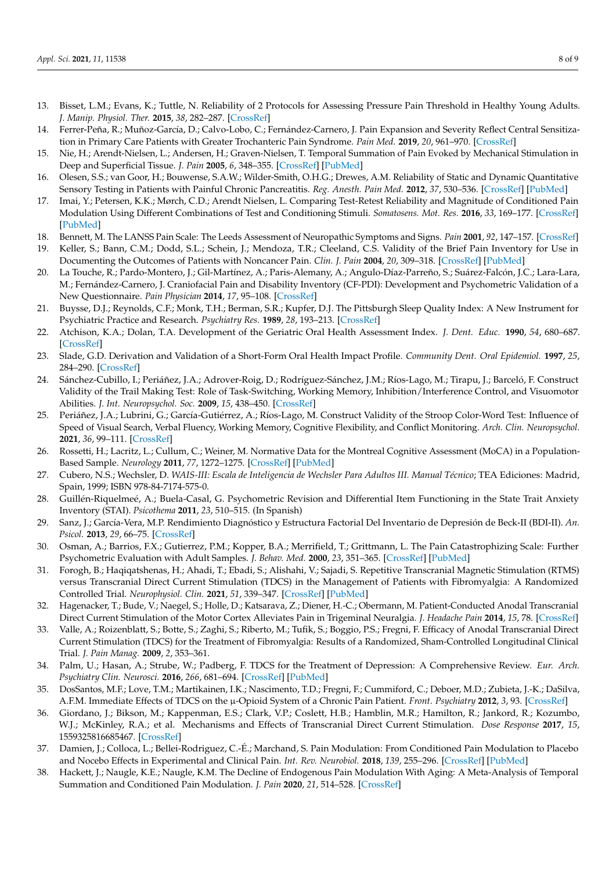- <span id="page-7-0"></span>13. Bisset, L.M.; Evans, K.; Tuttle, N. Reliability of 2 Protocols for Assessing Pressure Pain Threshold in Healthy Young Adults. *J. Manip. Physiol. Ther.* **2015**, *38*, 282–287. [\[CrossRef\]](http://doi.org/10.1016/j.jmpt.2015.03.001)
- <span id="page-7-1"></span>14. Ferrer-Peña, R.; Muñoz-García, D.; Calvo-Lobo, C.; Fernández-Carnero, J. Pain Expansion and Severity Reflect Central Sensitization in Primary Care Patients with Greater Trochanteric Pain Syndrome. *Pain Med.* **2019**, *20*, 961–970. [\[CrossRef\]](http://doi.org/10.1093/pm/pny199)
- <span id="page-7-2"></span>15. Nie, H.; Arendt-Nielsen, L.; Andersen, H.; Graven-Nielsen, T. Temporal Summation of Pain Evoked by Mechanical Stimulation in Deep and Superficial Tissue. *J. Pain* **2005**, *6*, 348–355. [\[CrossRef\]](http://doi.org/10.1016/j.jpain.2005.01.352) [\[PubMed\]](http://www.ncbi.nlm.nih.gov/pubmed/15943956)
- <span id="page-7-3"></span>16. Olesen, S.S.; van Goor, H.; Bouwense, S.A.W.; Wilder-Smith, O.H.G.; Drewes, A.M. Reliability of Static and Dynamic Quantitative Sensory Testing in Patients with Painful Chronic Pancreatitis. *Reg. Anesth. Pain Med.* **2012**, *37*, 530–536. [\[CrossRef\]](http://doi.org/10.1097/AAP.0b013e3182632c40) [\[PubMed\]](http://www.ncbi.nlm.nih.gov/pubmed/22854397)
- <span id="page-7-4"></span>17. Imai, Y.; Petersen, K.K.; Mørch, C.D.; Arendt Nielsen, L. Comparing Test-Retest Reliability and Magnitude of Conditioned Pain Modulation Using Different Combinations of Test and Conditioning Stimuli. *Somatosens. Mot. Res.* **2016**, *33*, 169–177. [\[CrossRef\]](http://doi.org/10.1080/08990220.2016.1229178) [\[PubMed\]](http://www.ncbi.nlm.nih.gov/pubmed/27650216)
- <span id="page-7-5"></span>18. Bennett, M. The LANSS Pain Scale: The Leeds Assessment of Neuropathic Symptoms and Signs. *Pain* **2001**, *92*, 147–157. [\[CrossRef\]](http://doi.org/10.1016/S0304-3959(00)00482-6)
- <span id="page-7-6"></span>19. Keller, S.; Bann, C.M.; Dodd, S.L.; Schein, J.; Mendoza, T.R.; Cleeland, C.S. Validity of the Brief Pain Inventory for Use in Documenting the Outcomes of Patients with Noncancer Pain. *Clin. J. Pain* **2004**, *20*, 309–318. [\[CrossRef\]](http://doi.org/10.1097/00002508-200409000-00005) [\[PubMed\]](http://www.ncbi.nlm.nih.gov/pubmed/15322437)
- <span id="page-7-7"></span>20. La Touche, R.; Pardo-Montero, J.; Gil-Martínez, A.; Paris-Alemany, A.; Angulo-Díaz-Parreño, S.; Suárez-Falcón, J.C.; Lara-Lara, M.; Fernández-Carnero, J. Craniofacial Pain and Disability Inventory (CF-PDI): Development and Psychometric Validation of a New Questionnaire. *Pain Physician* **2014**, *17*, 95–108. [\[CrossRef\]](http://doi.org/10.36076/ppj.2014/17/95)
- <span id="page-7-8"></span>21. Buysse, D.J.; Reynolds, C.F.; Monk, T.H.; Berman, S.R.; Kupfer, D.J. The Pittsburgh Sleep Quality Index: A New Instrument for Psychiatric Practice and Research. *Psychiatry Res.* **1989**, *28*, 193–213. [\[CrossRef\]](http://doi.org/10.1016/0165-1781(89)90047-4)
- <span id="page-7-9"></span>22. Atchison, K.A.; Dolan, T.A. Development of the Geriatric Oral Health Assessment Index. *J. Dent. Educ.* **1990**, *54*, 680–687. [\[CrossRef\]](http://doi.org/10.1002/j.0022-0337.1990.54.11.tb02481.x)
- <span id="page-7-10"></span>23. Slade, G.D. Derivation and Validation of a Short-Form Oral Health Impact Profile. *Community Dent. Oral Epidemiol.* **1997**, *25*, 284–290. [\[CrossRef\]](http://doi.org/10.1111/j.1600-0528.1997.tb00941.x)
- <span id="page-7-11"></span>24. Sánchez-Cubillo, I.; Periáñez, J.A.; Adrover-Roig, D.; Rodríguez-Sánchez, J.M.; Ríos-Lago, M.; Tirapu, J.; Barceló, F. Construct Validity of the Trail Making Test: Role of Task-Switching, Working Memory, Inhibition/Interference Control, and Visuomotor Abilities. *J. Int. Neuropsychol. Soc.* **2009**, *15*, 438–450. [\[CrossRef\]](http://doi.org/10.1017/S1355617709090626)
- <span id="page-7-12"></span>25. Periáñez, J.A.; Lubrini, G.; García-Gutiérrez, A.; Ríos-Lago, M. Construct Validity of the Stroop Color-Word Test: Influence of Speed of Visual Search, Verbal Fluency, Working Memory, Cognitive Flexibility, and Conflict Monitoring. *Arch. Clin. Neuropsychol.* **2021**, *36*, 99–111. [\[CrossRef\]](http://doi.org/10.1093/arclin/acaa034)
- <span id="page-7-13"></span>26. Rossetti, H.; Lacritz, L.; Cullum, C.; Weiner, M. Normative Data for the Montreal Cognitive Assessment (MoCA) in a Population-Based Sample. *Neurology* **2011**, *77*, 1272–1275. [\[CrossRef\]](http://doi.org/10.1212/WNL.0b013e318230208a) [\[PubMed\]](http://www.ncbi.nlm.nih.gov/pubmed/21917776)
- <span id="page-7-14"></span>27. Cubero, N.S.; Wechsler, D. *WAIS-III: Escala de Inteligencia de Wechsler Para Adultos III. Manual Técnico*; TEA Ediciones: Madrid, Spain, 1999; ISBN 978-84-7174-575-0.
- <span id="page-7-15"></span>28. Guillén-Riquelmeé, A.; Buela-Casal, G. Psychometric Revision and Differential Item Functioning in the State Trait Anxiety Inventory (STAI). *Psicothema* **2011**, *23*, 510–515. (In Spanish)
- <span id="page-7-16"></span>29. Sanz, J.; García-Vera, M.P. Rendimiento Diagnóstico y Estructura Factorial Del Inventario de Depresión de Beck-II (BDI-II). *An. Psicol.* **2013**, *29*, 66–75. [\[CrossRef\]](http://doi.org/10.6018/analesps.29.1.130532)
- <span id="page-7-17"></span>30. Osman, A.; Barrios, F.X.; Gutierrez, P.M.; Kopper, B.A.; Merrifield, T.; Grittmann, L. The Pain Catastrophizing Scale: Further Psychometric Evaluation with Adult Samples. *J. Behav. Med.* **2000**, *23*, 351–365. [\[CrossRef\]](http://doi.org/10.1023/A:1005548801037) [\[PubMed\]](http://www.ncbi.nlm.nih.gov/pubmed/10984864)
- <span id="page-7-18"></span>31. Forogh, B.; Haqiqatshenas, H.; Ahadi, T.; Ebadi, S.; Alishahi, V.; Sajadi, S. Repetitive Transcranial Magnetic Stimulation (RTMS) versus Transcranial Direct Current Stimulation (TDCS) in the Management of Patients with Fibromyalgia: A Randomized Controlled Trial. *Neurophysiol. Clin.* **2021**, *51*, 339–347. [\[CrossRef\]](http://doi.org/10.1016/j.neucli.2021.03.002) [\[PubMed\]](http://www.ncbi.nlm.nih.gov/pubmed/33814258)
- <span id="page-7-19"></span>32. Hagenacker, T.; Bude, V.; Naegel, S.; Holle, D.; Katsarava, Z.; Diener, H.-C.; Obermann, M. Patient-Conducted Anodal Transcranial Direct Current Stimulation of the Motor Cortex Alleviates Pain in Trigeminal Neuralgia. *J. Headache Pain* **2014**, *15*, 78. [\[CrossRef\]](http://doi.org/10.1186/1129-2377-15-78)
- <span id="page-7-20"></span>33. Valle, A.; Roizenblatt, S.; Botte, S.; Zaghi, S.; Riberto, M.; Tufik, S.; Boggio, P.S.; Fregni, F. Efficacy of Anodal Transcranial Direct Current Stimulation (TDCS) for the Treatment of Fibromyalgia: Results of a Randomized, Sham-Controlled Longitudinal Clinical Trial. *J. Pain Manag.* **2009**, *2*, 353–361.
- <span id="page-7-21"></span>34. Palm, U.; Hasan, A.; Strube, W.; Padberg, F. TDCS for the Treatment of Depression: A Comprehensive Review. *Eur. Arch. Psychiatry Clin. Neurosci.* **2016**, *266*, 681–694. [\[CrossRef\]](http://doi.org/10.1007/s00406-016-0674-9) [\[PubMed\]](http://www.ncbi.nlm.nih.gov/pubmed/26842422)
- <span id="page-7-22"></span>35. DosSantos, M.F.; Love, T.M.; Martikainen, I.K.; Nascimento, T.D.; Fregni, F.; Cummiford, C.; Deboer, M.D.; Zubieta, J.-K.; DaSilva, A.F.M. Immediate Effects of TDCS on the µ-Opioid System of a Chronic Pain Patient. *Front. Psychiatry* **2012**, *3*, 93. [\[CrossRef\]](http://doi.org/10.3389/fpsyt.2012.00093)
- <span id="page-7-23"></span>36. Giordano, J.; Bikson, M.; Kappenman, E.S.; Clark, V.P.; Coslett, H.B.; Hamblin, M.R.; Hamilton, R.; Jankord, R.; Kozumbo, W.J.; McKinley, R.A.; et al. Mechanisms and Effects of Transcranial Direct Current Stimulation. *Dose Response* **2017**, *15*, 1559325816685467. [\[CrossRef\]](http://doi.org/10.1177/1559325816685467)
- <span id="page-7-24"></span>37. Damien, J.; Colloca, L.; Bellei-Rodriguez, C.-É.; Marchand, S. Pain Modulation: From Conditioned Pain Modulation to Placebo and Nocebo Effects in Experimental and Clinical Pain. *Int. Rev. Neurobiol.* **2018**, *139*, 255–296. [\[CrossRef\]](http://doi.org/10.1016/bs.irn.2018.07.024) [\[PubMed\]](http://www.ncbi.nlm.nih.gov/pubmed/30146050)
- <span id="page-7-25"></span>38. Hackett, J.; Naugle, K.E.; Naugle, K.M. The Decline of Endogenous Pain Modulation With Aging: A Meta-Analysis of Temporal Summation and Conditioned Pain Modulation. *J. Pain* **2020**, *21*, 514–528. [\[CrossRef\]](http://doi.org/10.1016/j.jpain.2019.09.005)